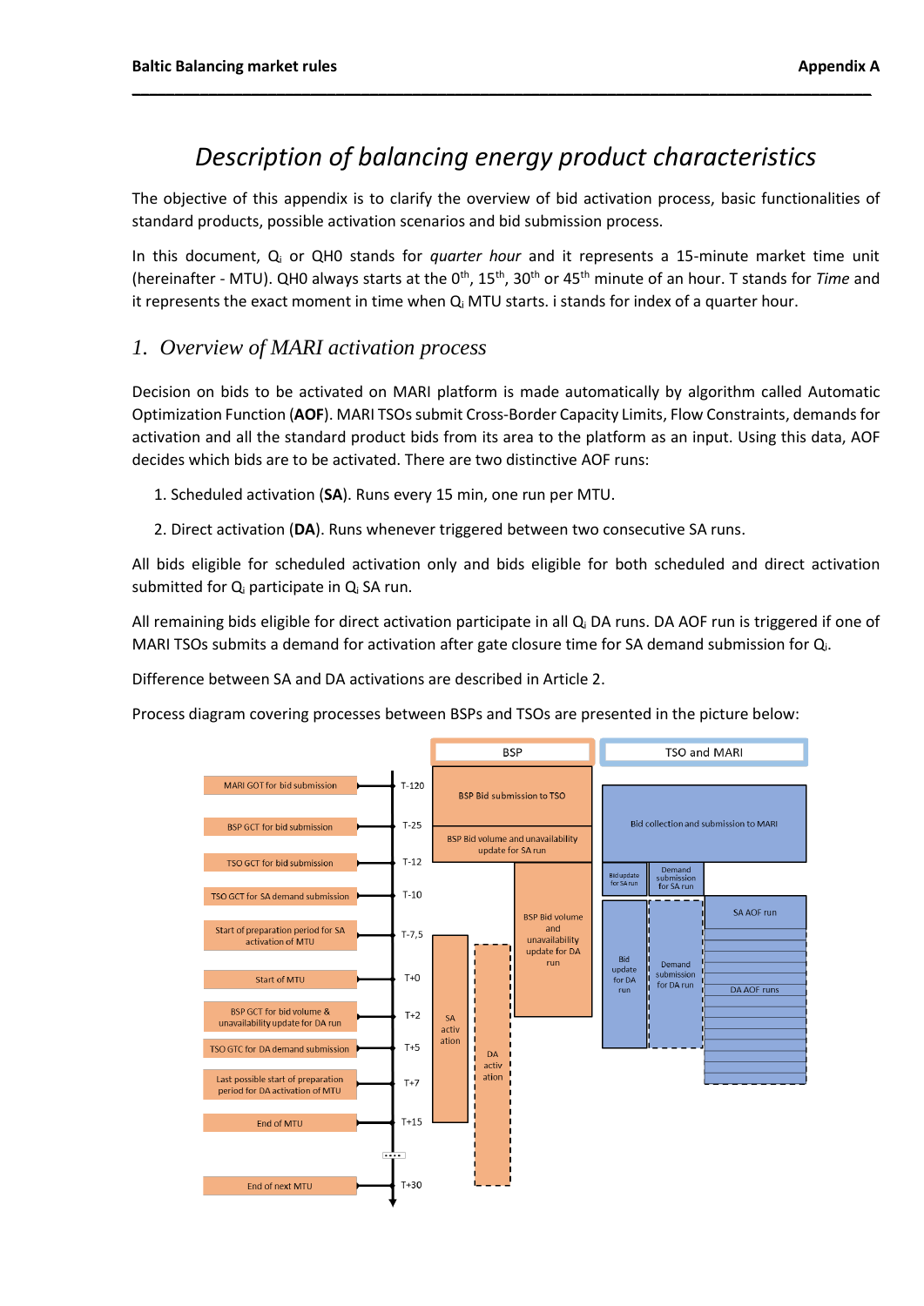# *Description of balancing energy product characteristics*

**\_\_\_\_\_\_\_\_\_\_\_\_\_\_\_\_\_\_\_\_\_\_\_\_\_\_\_\_\_\_\_\_\_\_\_\_\_\_\_\_\_\_\_\_\_\_\_\_\_\_\_\_\_\_\_\_\_\_\_\_\_\_\_\_\_\_\_\_\_\_\_\_\_\_\_\_\_\_\_\_\_\_\_\_\_\_\_**

The objective of this appendix is to clarify the overview of bid activation process, basic functionalities of standard products, possible activation scenarios and bid submission process.

In this document, Q<sup>i</sup> or QH0 stands for *quarter hour* and it represents a 15-minute market time unit (hereinafter - MTU). QH0 always starts at the 0<sup>th</sup>, 15<sup>th</sup>, 30<sup>th</sup> or 45<sup>th</sup> minute of an hour. T stands for *Time* and it represents the exact moment in time when  $Q_i$  MTU starts. i stands for index of a quarter hour.

## *1. Overview of MARI activation process*

Decision on bids to be activated on MARI platform is made automatically by algorithm called Automatic Optimization Function (**AOF**). MARI TSOs submit Cross-Border Capacity Limits, Flow Constraints, demands for activation and all the standard product bids from its area to the platform as an input. Using this data, AOF decides which bids are to be activated. There are two distinctive AOF runs:

- 1. Scheduled activation (**SA**). Runs every 15 min, one run per MTU.
- 2. Direct activation (**DA**). Runs whenever triggered between two consecutive SA runs.

All bids eligible for scheduled activation only and bids eligible for both scheduled and direct activation submitted for Q<sub>i</sub> participate in Q<sub>i</sub> SA run.

All remaining bids eligible for direct activation participate in all  $Q_i$  DA runs. DA AOF run is triggered if one of MARI TSOs submits a demand for activation after gate closure time for SA demand submission for Qi.

Difference between SA and DA activations are described in Article 2.

Process diagram covering processes between BSPs and TSOs are presented in the picture below:

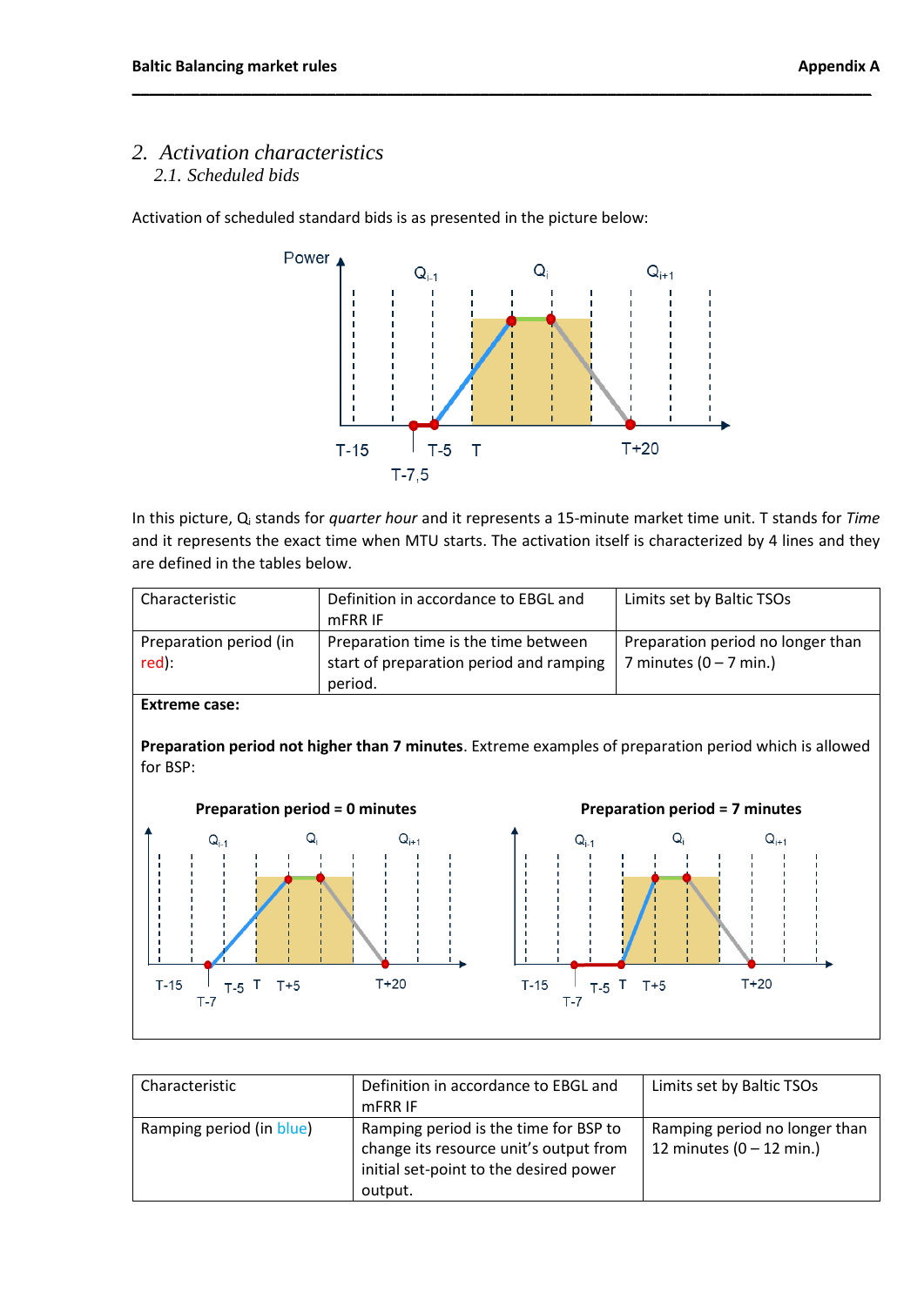# *2. Activation characteristics 2.1. Scheduled bids*

Activation of scheduled standard bids is as presented in the picture below:



**\_\_\_\_\_\_\_\_\_\_\_\_\_\_\_\_\_\_\_\_\_\_\_\_\_\_\_\_\_\_\_\_\_\_\_\_\_\_\_\_\_\_\_\_\_\_\_\_\_\_\_\_\_\_\_\_\_\_\_\_\_\_\_\_\_\_\_\_\_\_\_\_\_\_\_\_\_\_\_\_\_\_\_\_\_\_\_**

In this picture, Q<sup>i</sup> stands for *quarter hour* and it represents a 15-minute market time unit. T stands for *Time* and it represents the exact time when MTU starts. The activation itself is characterized by 4 lines and they are defined in the tables below.

| Characteristic                  | Definition in accordance to EBGL and<br>mFRR IF                                            | Limits set by Baltic TSOs                                     |
|---------------------------------|--------------------------------------------------------------------------------------------|---------------------------------------------------------------|
| Preparation period (in<br>red): | Preparation time is the time between<br>start of preparation period and ramping<br>period. | Preparation period no longer than<br>7 minutes $(0 - 7$ min.) |

**Extreme case:**

**Preparation period not higher than 7 minutes**. Extreme examples of preparation period which is allowed for BSP:



| Characteristic           | Definition in accordance to EBGL and<br>mFRR IF                                                                                      | Limits set by Baltic TSOs                                           |
|--------------------------|--------------------------------------------------------------------------------------------------------------------------------------|---------------------------------------------------------------------|
| Ramping period (in blue) | Ramping period is the time for BSP to<br>change its resource unit's output from<br>initial set-point to the desired power<br>output. | Ramping period no longer than<br>12 minutes $(0 - 12 \text{ min.})$ |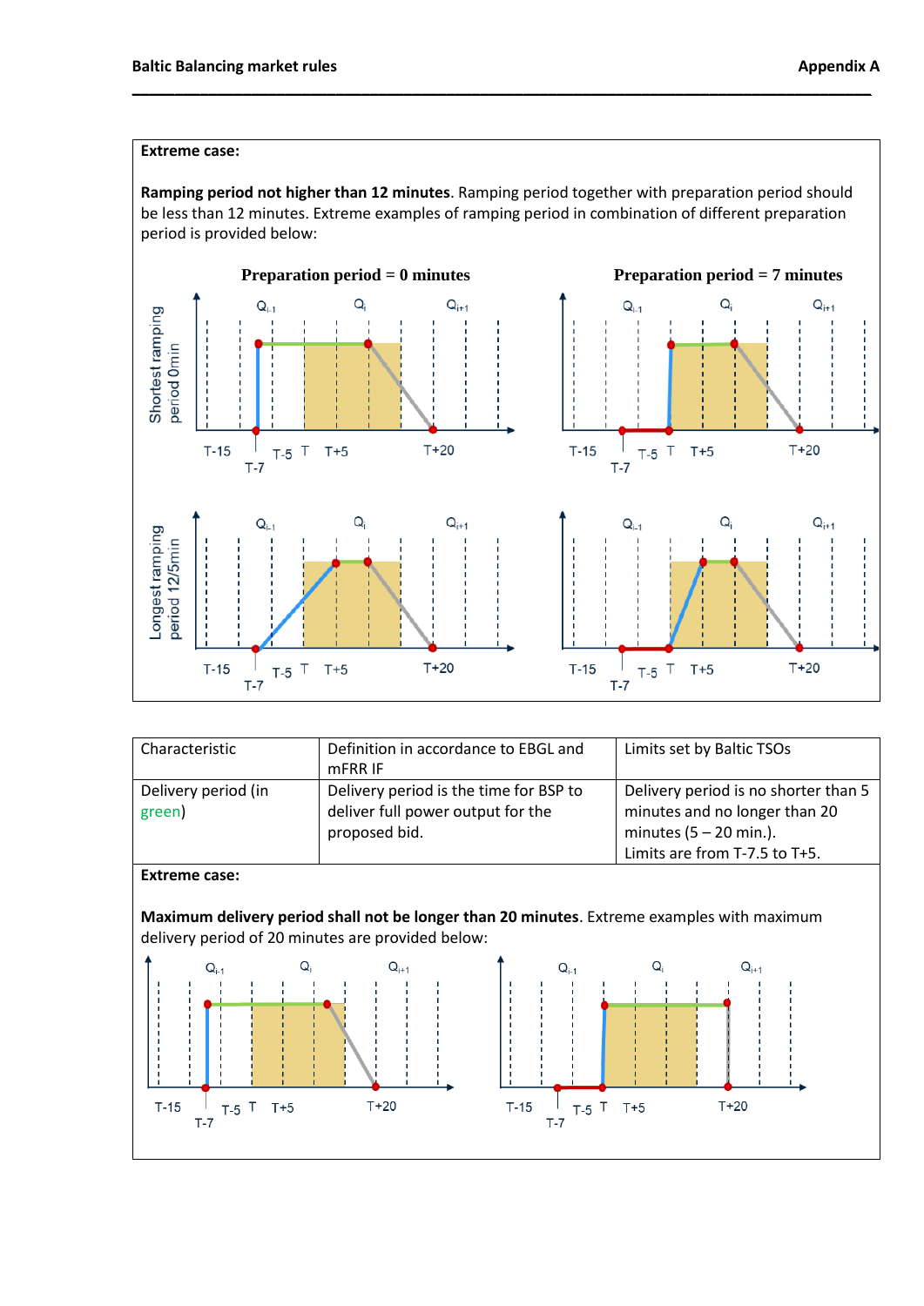#### **Extreme case:**

**Ramping period not higher than 12 minutes**. Ramping period together with preparation period should be less than 12 minutes. Extreme examples of ramping period in combination of different preparation period is provided below:

**\_\_\_\_\_\_\_\_\_\_\_\_\_\_\_\_\_\_\_\_\_\_\_\_\_\_\_\_\_\_\_\_\_\_\_\_\_\_\_\_\_\_\_\_\_\_\_\_\_\_\_\_\_\_\_\_\_\_\_\_\_\_\_\_\_\_\_\_\_\_\_\_\_\_\_\_\_\_\_\_\_\_\_\_\_\_\_**



| Characteristic                                                                                                                                                          | Definition in accordance to EBGL and<br>mFRR IF                                              | Limits set by Baltic TSOs                                                                                                          |  |  |
|-------------------------------------------------------------------------------------------------------------------------------------------------------------------------|----------------------------------------------------------------------------------------------|------------------------------------------------------------------------------------------------------------------------------------|--|--|
| Delivery period (in<br>green)                                                                                                                                           | Delivery period is the time for BSP to<br>deliver full power output for the<br>proposed bid. | Delivery period is no shorter than 5<br>minutes and no longer than 20<br>minutes $(5 - 20$ min.).<br>Limits are from T-7.5 to T+5. |  |  |
| <b>Extreme case:</b><br>Maximum delivery period shall not be longer than 20 minutes. Extreme examples with maximum<br>delivery period of 20 minutes are provided below: |                                                                                              |                                                                                                                                    |  |  |
| Q<br>$Q_{i-1}$<br>$T-15$<br>$T+5$<br>T<br>$T-5$<br>T-7                                                                                                                  | $Q_{i+1}$<br>$Q_{i-1}$<br>$T+20$<br>$T-15$<br>ा<br>$T-5$<br>T-7                              | Q,<br>$Q_{i+1}$<br>$T+20$<br>$T+5$                                                                                                 |  |  |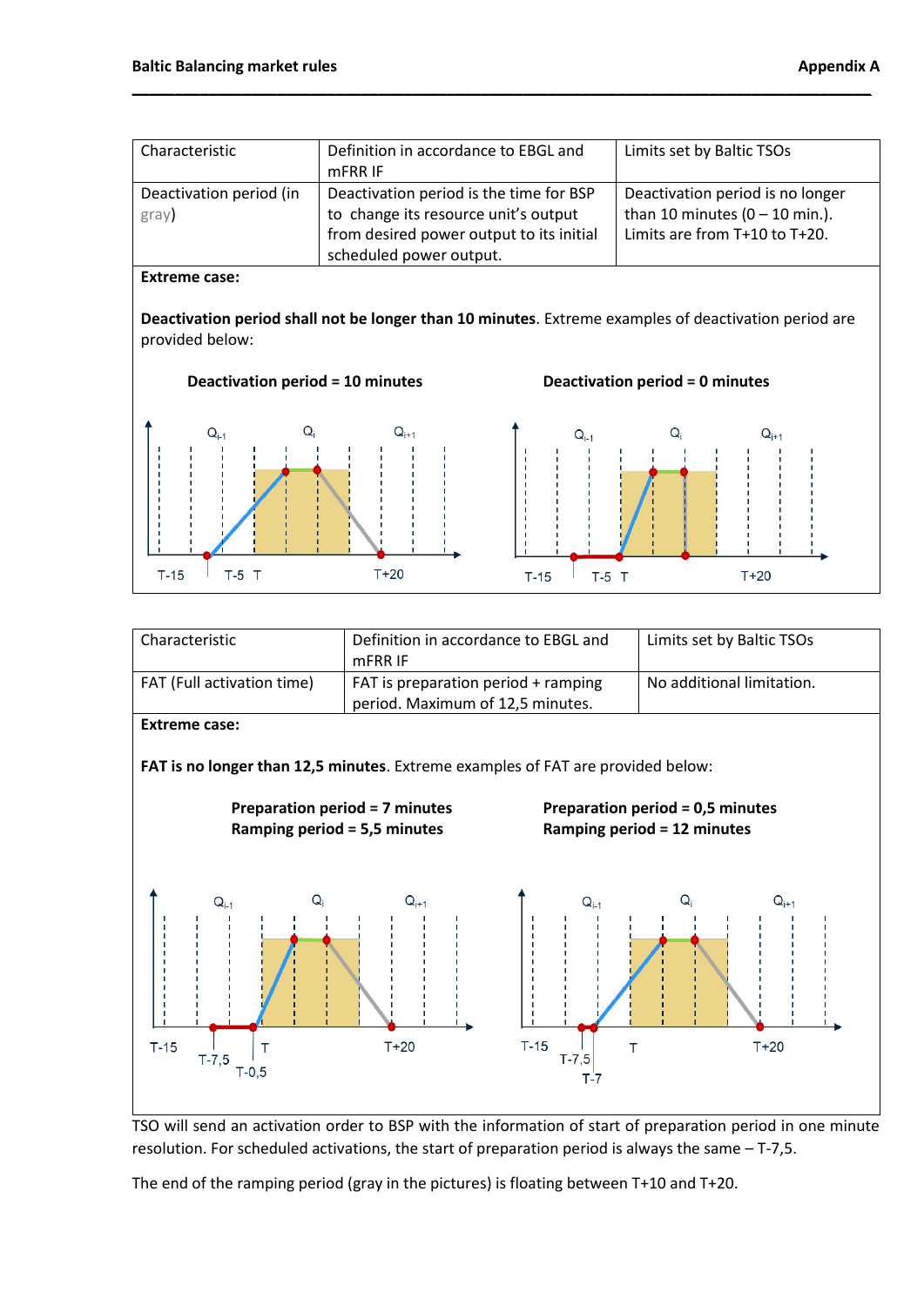| Characteristic                   | Definition in accordance to EBGL and<br>mFRR IF                                                                                                        | Limits set by Baltic TSOs                                                                             |
|----------------------------------|--------------------------------------------------------------------------------------------------------------------------------------------------------|-------------------------------------------------------------------------------------------------------|
| Deactivation period (in<br>gray) | Deactivation period is the time for BSP<br>to change its resource unit's output<br>from desired power output to its initial<br>scheduled power output. | Deactivation period is no longer<br>than 10 minutes $(0 - 10$ min.).<br>Limits are from T+10 to T+20. |

#### **Extreme case:**

**Deactivation period shall not be longer than 10 minutes**. Extreme examples of deactivation period are provided below:











resolution. For scheduled activations, the start of preparation period is always the same – T-7,5.

The end of the ramping period (gray in the pictures) is floating between T+10 and T+20.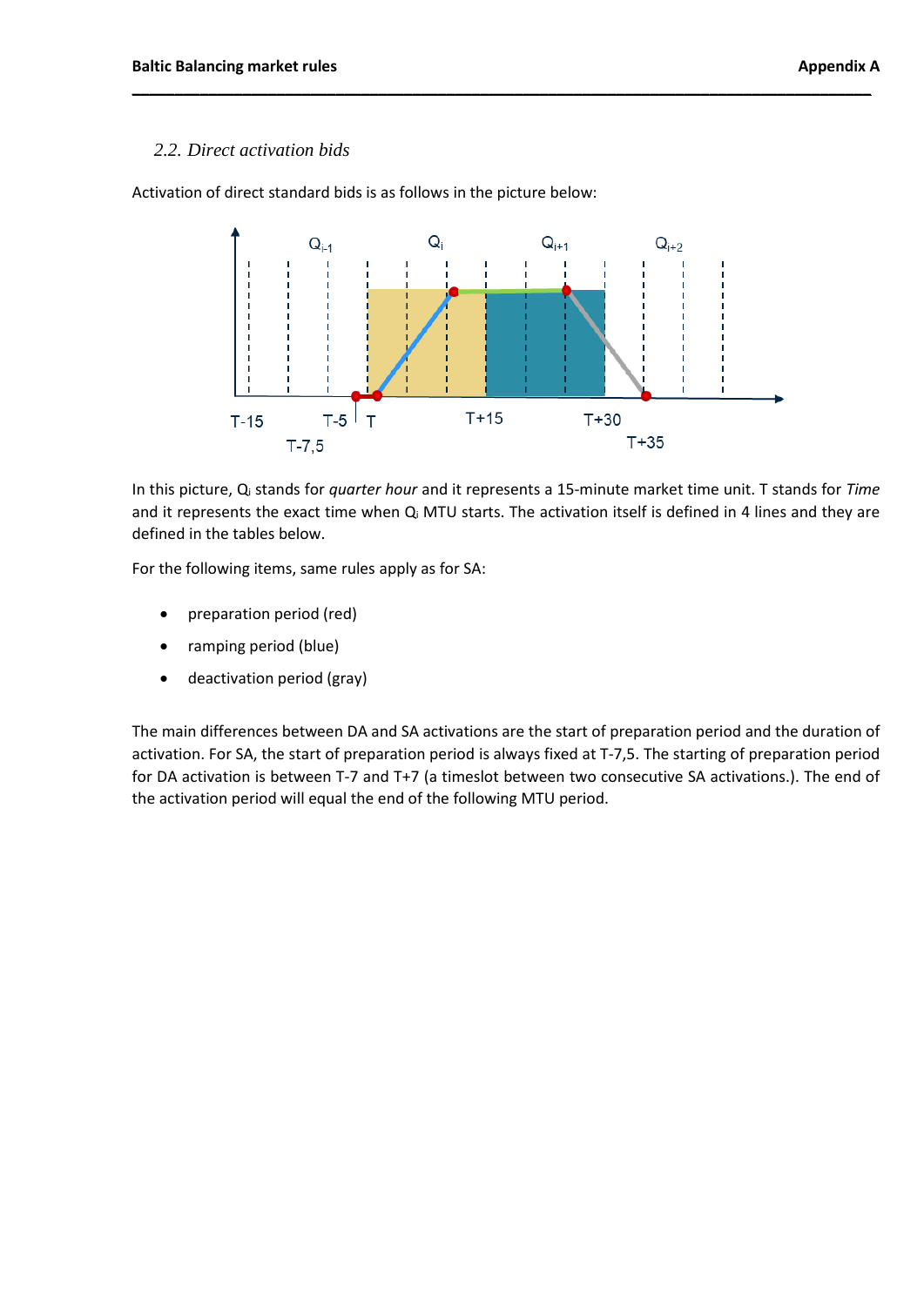## *2.2. Direct activation bids*

Activation of direct standard bids is as follows in the picture below:



**\_\_\_\_\_\_\_\_\_\_\_\_\_\_\_\_\_\_\_\_\_\_\_\_\_\_\_\_\_\_\_\_\_\_\_\_\_\_\_\_\_\_\_\_\_\_\_\_\_\_\_\_\_\_\_\_\_\_\_\_\_\_\_\_\_\_\_\_\_\_\_\_\_\_\_\_\_\_\_\_\_\_\_\_\_\_\_**

In this picture, Q<sup>i</sup> stands for *quarter hour* and it represents a 15-minute market time unit. T stands for *Time* and it represents the exact time when Q<sub>i</sub> MTU starts. The activation itself is defined in 4 lines and they are defined in the tables below.

For the following items, same rules apply as for SA:

- preparation period (red)
- ramping period (blue)
- deactivation period (gray)

The main differences between DA and SA activations are the start of preparation period and the duration of activation. For SA, the start of preparation period is always fixed at T-7,5. The starting of preparation period for DA activation is between T-7 and T+7 (a timeslot between two consecutive SA activations.). The end of the activation period will equal the end of the following MTU period.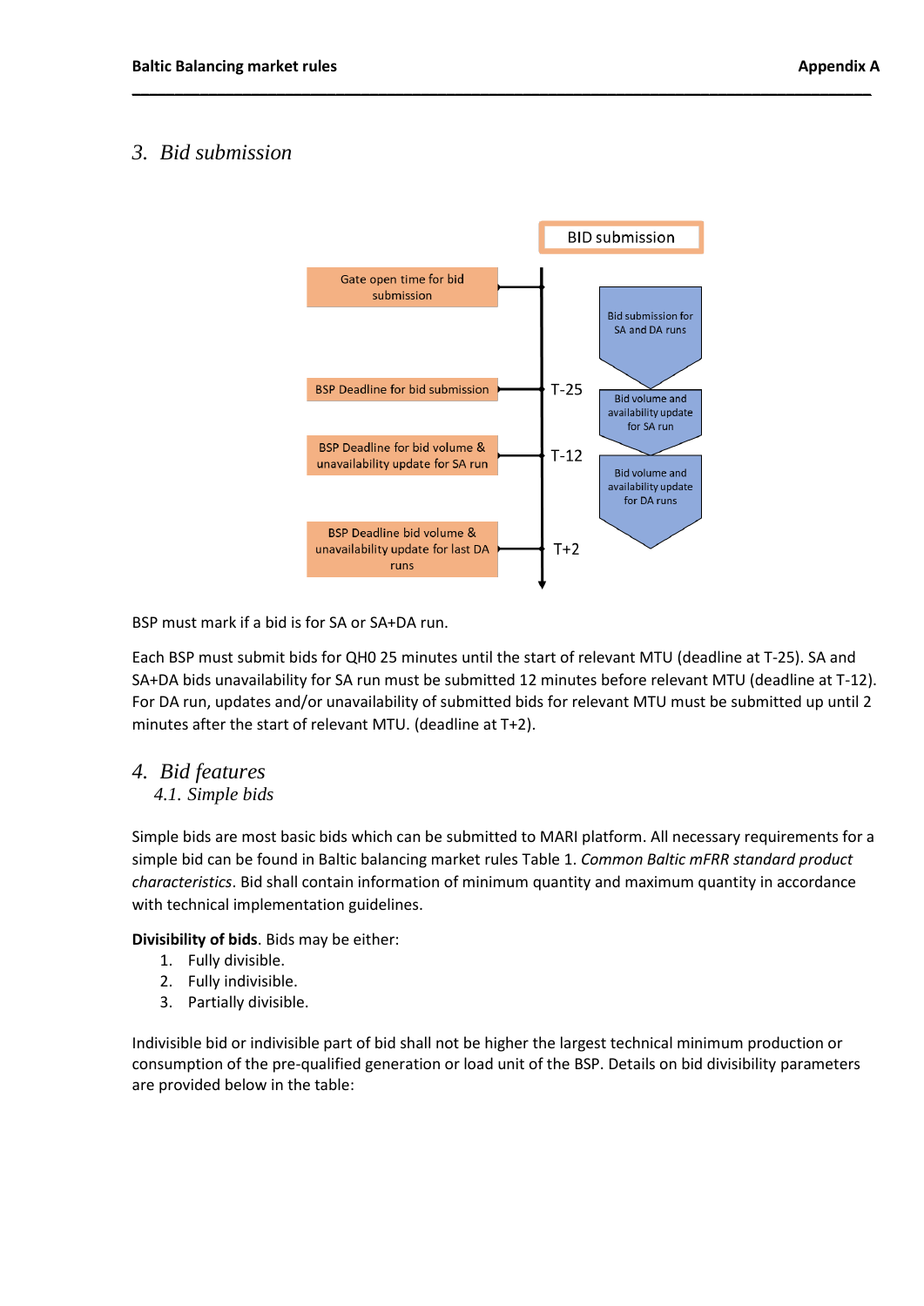# *3. Bid submission*



**\_\_\_\_\_\_\_\_\_\_\_\_\_\_\_\_\_\_\_\_\_\_\_\_\_\_\_\_\_\_\_\_\_\_\_\_\_\_\_\_\_\_\_\_\_\_\_\_\_\_\_\_\_\_\_\_\_\_\_\_\_\_\_\_\_\_\_\_\_\_\_\_\_\_\_\_\_\_\_\_\_\_\_\_\_\_\_**

BSP must mark if a bid is for SA or SA+DA run.

Each BSP must submit bids for QH0 25 minutes until the start of relevant MTU (deadline at T-25). SA and SA+DA bids unavailability for SA run must be submitted 12 minutes before relevant MTU (deadline at T-12). For DA run, updates and/or unavailability of submitted bids for relevant MTU must be submitted up until 2 minutes after the start of relevant MTU. (deadline at T+2).

## *4. Bid features 4.1. Simple bids*

Simple bids are most basic bids which can be submitted to MARI platform. All necessary requirements for a simple bid can be found in Baltic balancing market rules Table 1. *Common Baltic mFRR standard product characteristics*. Bid shall contain information of minimum quantity and maximum quantity in accordance with technical implementation guidelines.

**Divisibility of bids**. Bids may be either:

- 1. Fully divisible.
- 2. Fully indivisible.
- 3. Partially divisible.

Indivisible bid or indivisible part of bid shall not be higher the largest technical minimum production or consumption of the pre-qualified generation or load unit of the BSP. Details on bid divisibility parameters are provided below in the table: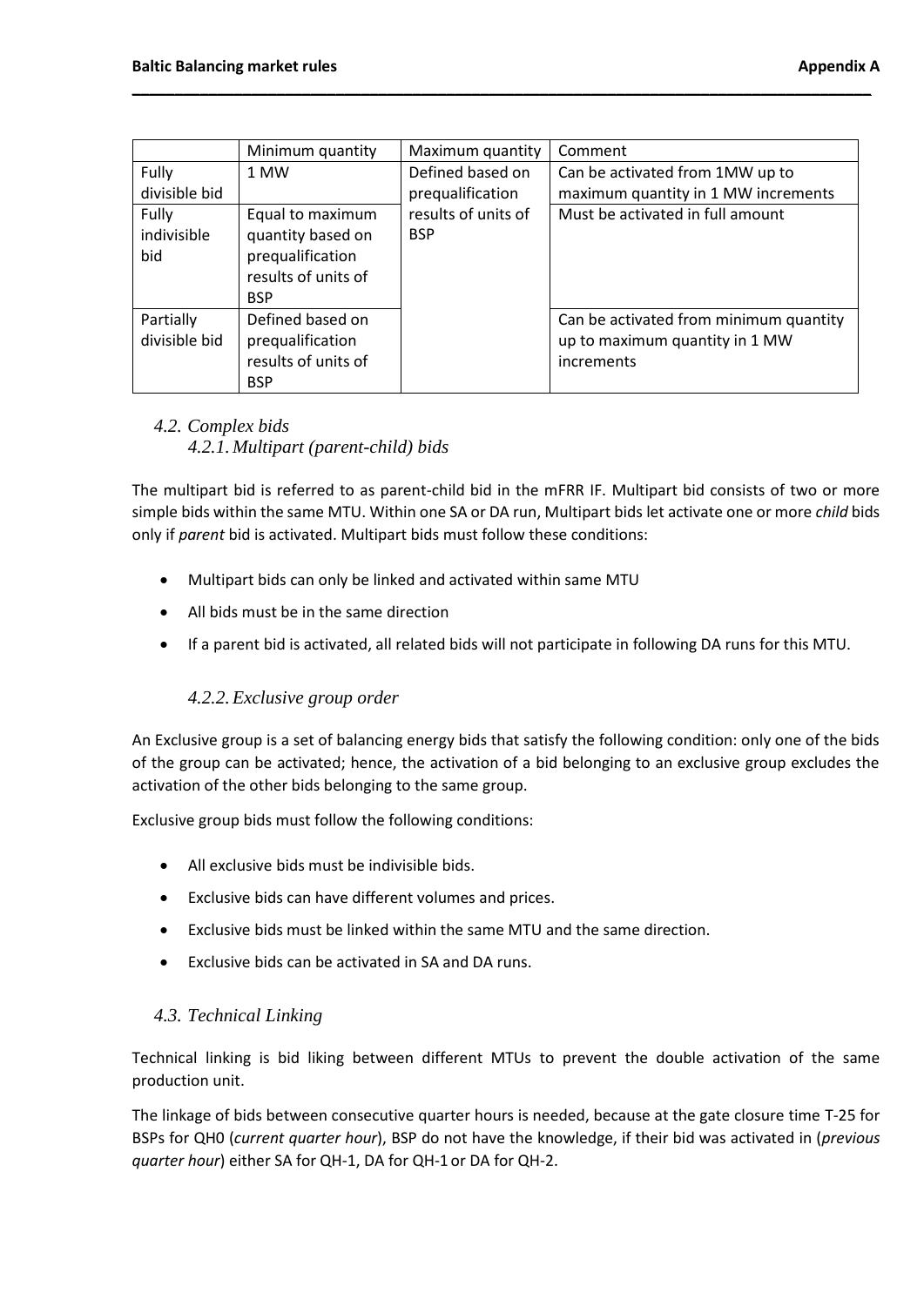|                             | Minimum quantity                                                                               | Maximum quantity                     | Comment                                                                                |
|-----------------------------|------------------------------------------------------------------------------------------------|--------------------------------------|----------------------------------------------------------------------------------------|
| Fully<br>divisible bid      | 1 MW                                                                                           | Defined based on<br>prequalification | Can be activated from 1MW up to<br>maximum quantity in 1 MW increments                 |
| Fully<br>indivisible<br>bid | Equal to maximum<br>quantity based on<br>prequalification<br>results of units of<br><b>BSP</b> | results of units of<br><b>BSP</b>    | Must be activated in full amount                                                       |
| Partially<br>divisible bid  | Defined based on<br>prequalification<br>results of units of<br><b>BSP</b>                      |                                      | Can be activated from minimum quantity<br>up to maximum quantity in 1 MW<br>increments |

**\_\_\_\_\_\_\_\_\_\_\_\_\_\_\_\_\_\_\_\_\_\_\_\_\_\_\_\_\_\_\_\_\_\_\_\_\_\_\_\_\_\_\_\_\_\_\_\_\_\_\_\_\_\_\_\_\_\_\_\_\_\_\_\_\_\_\_\_\_\_\_\_\_\_\_\_\_\_\_\_\_\_\_\_\_\_\_**

# *4.2. Complex bids 4.2.1. Multipart (parent-child) bids*

The multipart bid is referred to as parent-child bid in the mFRR IF. Multipart bid consists of two or more simple bids within the same MTU. Within one SA or DA run, Multipart bids let activate one or more *child* bids only if *parent* bid is activated. Multipart bids must follow these conditions:

- Multipart bids can only be linked and activated within same MTU
- All bids must be in the same direction
- If a parent bid is activated, all related bids will not participate in following DA runs for this MTU.

## *4.2.2.Exclusive group order*

An Exclusive group is a set of balancing energy bids that satisfy the following condition: only one of the bids of the group can be activated; hence, the activation of a bid belonging to an exclusive group excludes the activation of the other bids belonging to the same group.

Exclusive group bids must follow the following conditions:

- All exclusive bids must be indivisible bids.
- Exclusive bids can have different volumes and prices.
- Exclusive bids must be linked within the same MTU and the same direction.
- Exclusive bids can be activated in SA and DA runs.

## *4.3. Technical Linking*

Technical linking is bid liking between different MTUs to prevent the double activation of the same production unit.

The linkage of bids between consecutive quarter hours is needed, because at the gate closure time T-25 for BSPs for QH0 (*current quarter hour*), BSP do not have the knowledge, if their bid was activated in (*previous quarter hour*) either SA for QH-1, DA for QH-1 or DA for QH-2.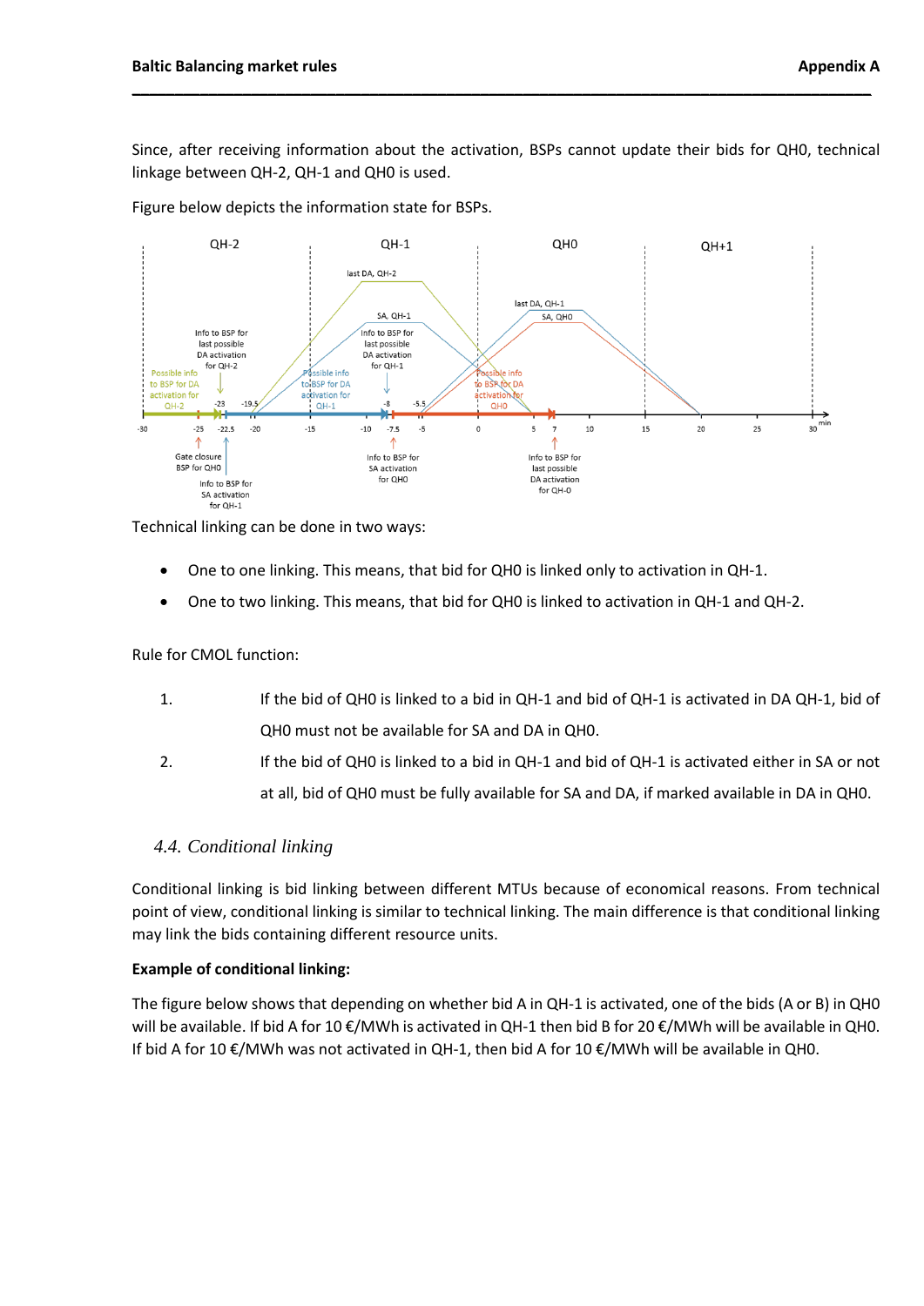Since, after receiving information about the activation, BSPs cannot update their bids for QH0, technical linkage between QH-2, QH-1 and QH0 is used.

**\_\_\_\_\_\_\_\_\_\_\_\_\_\_\_\_\_\_\_\_\_\_\_\_\_\_\_\_\_\_\_\_\_\_\_\_\_\_\_\_\_\_\_\_\_\_\_\_\_\_\_\_\_\_\_\_\_\_\_\_\_\_\_\_\_\_\_\_\_\_\_\_\_\_\_\_\_\_\_\_\_\_\_\_\_\_\_**

Figure below depicts the information state for BSPs.



Technical linking can be done in two ways:

- One to one linking. This means, that bid for QH0 is linked only to activation in QH-1.
- One to two linking. This means, that bid for QH0 is linked to activation in QH-1 and QH-2.

Rule for CMOL function:

- 1. If the bid of QH0 is linked to a bid in QH-1 and bid of QH-1 is activated in DA QH-1, bid of QH0 must not be available for SA and DA in QH0.
- 2. If the bid of QH0 is linked to a bid in QH-1 and bid of QH-1 is activated either in SA or not at all, bid of QH0 must be fully available for SA and DA, if marked available in DA in QH0.

#### *4.4. Conditional linking*

Conditional linking is bid linking between different MTUs because of economical reasons. From technical point of view, conditional linking is similar to technical linking. The main difference is that conditional linking may link the bids containing different resource units.

#### **Example of conditional linking:**

The figure below shows that depending on whether bid A in QH-1 is activated, one of the bids (A or B) in QH0 will be available. If bid A for 10 €/MWh is activated in QH-1 then bid B for 20 €/MWh will be available in QH0. If bid A for 10 €/MWh was not activated in QH-1, then bid A for 10 €/MWh will be available in QH0.